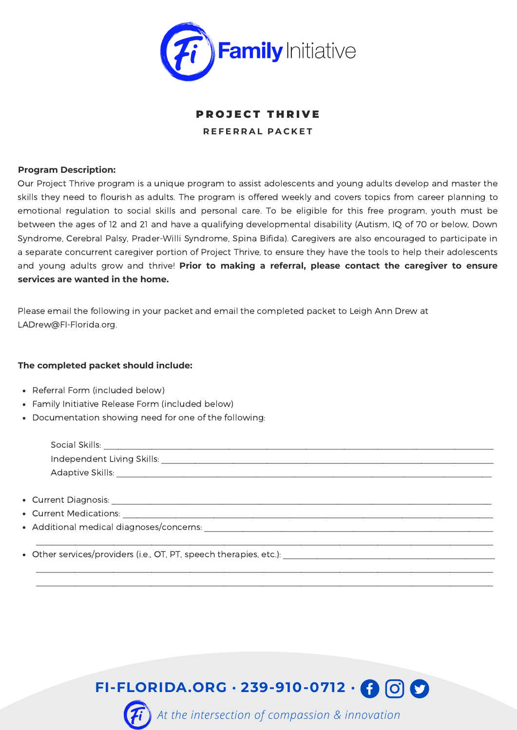

## **PROJECT THRIVE R E F E R R A L P A C K E T**

## **Program Description:**

Our Project Thrive program is a unique program to assist adolescents and young adults develop and master the skills they need to flourish as adults. The program is offered weekly and covers topics from career planning to emotional regulation to social skills and personal care. To be eligible for this free program, youth must be between the ages of 12 and 21 and have a qualifying developmental disability (Autism, IQ of 70 or below, Down Syndrome, Cerebral Palsy, Prader-Willi Syndrome, Spina Bifida). Caregivers are also encouraged to participate in a separate concurrent caregiver portion of Project Thrive, to ensure they have the tools to help their adolescents and young adults grow and thrive! **Prior to making a referral, please contact the caregiver to ensure services are wanted in the home.**

Please email the following in your packet and email the completed packet to Leigh Ann Drew at LADrew@FI-Florida.org.

## **The completed packet should include:**

- Referral Form (included below)
- Family Initiative Release Form (included below)
- Documentation showing need for one of the following:

| Social Skills:             |  |  |
|----------------------------|--|--|
| Independent Living Skills: |  |  |
| Adaptive Skills:           |  |  |

 $\mathcal{L}_\mathcal{L} = \mathcal{L}_\mathcal{L} = \mathcal{L}_\mathcal{L} = \mathcal{L}_\mathcal{L} = \mathcal{L}_\mathcal{L} = \mathcal{L}_\mathcal{L} = \mathcal{L}_\mathcal{L} = \mathcal{L}_\mathcal{L} = \mathcal{L}_\mathcal{L} = \mathcal{L}_\mathcal{L} = \mathcal{L}_\mathcal{L} = \mathcal{L}_\mathcal{L} = \mathcal{L}_\mathcal{L} = \mathcal{L}_\mathcal{L} = \mathcal{L}_\mathcal{L} = \mathcal{L}_\mathcal{L} = \mathcal{L}_\mathcal{L}$ 

 $\mathcal{L}_\text{max} = \mathcal{L}_\text{max} = \mathcal{L}_\text{max} = \mathcal{L}_\text{max} = \mathcal{L}_\text{max} = \mathcal{L}_\text{max} = \mathcal{L}_\text{max} = \mathcal{L}_\text{max} = \mathcal{L}_\text{max} = \mathcal{L}_\text{max} = \mathcal{L}_\text{max} = \mathcal{L}_\text{max} = \mathcal{L}_\text{max} = \mathcal{L}_\text{max} = \mathcal{L}_\text{max} = \mathcal{L}_\text{max} = \mathcal{L}_\text{max} = \mathcal{L}_\text{max} = \mathcal{$  $\mathcal{L}_\text{max} = \frac{1}{2} \sum_{i=1}^{n} \frac{1}{2} \sum_{i=1}^{n} \frac{1}{2} \sum_{i=1}^{n} \frac{1}{2} \sum_{i=1}^{n} \frac{1}{2} \sum_{i=1}^{n} \frac{1}{2} \sum_{i=1}^{n} \frac{1}{2} \sum_{i=1}^{n} \frac{1}{2} \sum_{i=1}^{n} \frac{1}{2} \sum_{i=1}^{n} \frac{1}{2} \sum_{i=1}^{n} \frac{1}{2} \sum_{i=1}^{n} \frac{1}{2} \sum_{i=1}^{n} \frac{1$ 

- Current Diagnosis: \_\_\_\_\_\_\_\_\_\_\_\_\_\_\_\_\_\_\_\_\_\_\_\_\_\_\_\_\_\_\_\_\_\_\_\_\_\_\_\_\_\_\_\_\_\_\_\_\_\_\_\_\_\_\_\_\_\_\_\_\_\_\_\_\_\_\_\_\_\_\_\_\_\_\_\_\_\_\_
- Current Medications:
- Additional medical diagnoses/concerns:
- Other services/providers (i.e., OT, PT, speech therapies, etc.): \_\_\_\_\_\_\_\_\_\_\_\_\_\_\_\_\_\_\_\_\_\_\_\_\_\_\_\_\_\_\_\_\_\_\_\_\_\_\_\_\_\_\_\_